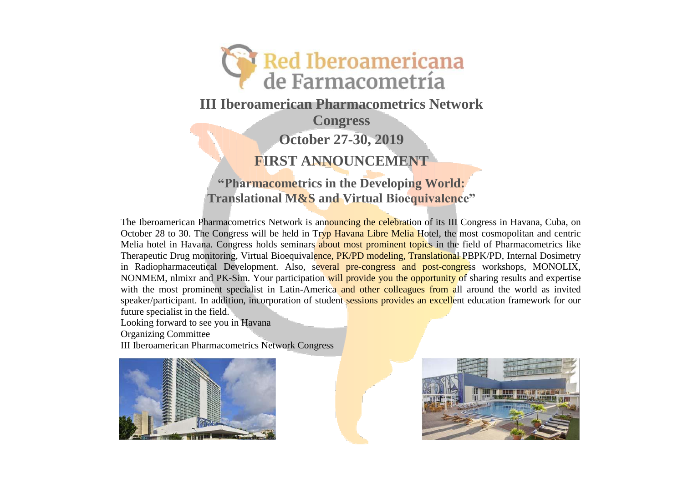

**III Iberoamerican Pharmacometrics Network** 

**Congress**

**October 27-30, 2019**

**FIRST ANNOUNCEMENT**

**"Pharmacometrics in the Developing World: Translational M&S and Virtual Bioequivalence"**

The Iberoamerican Pharmacometrics Network is announcing the celebration of its III Congress in Havana, Cuba, on October 28 to 30. The Congress will be held in Tryp Havana Libre Melia Hotel, the most cosmopolitan and centric Melia hotel in Havana. Congress holds seminars about most prominent topics in the field of Pharmacometrics like Therapeutic Drug monitoring, Virtual Bioequivalence, PK/PD modeling, Translational PBPK/PD, Internal Dosimetry in Radiopharmaceutical Development. Also, several pre-congress and post-congress workshops, MONOLIX, NONMEM, nlmixr and PK-Sim. Your participation will provide you the opportunity of sharing results and expertise with the most prominent specialist in Latin-America and other colleagues from all around the world as invited speaker/participant. In addition, incorporation of student sessions provides an excellent education framework for our future specialist in the field.

Looking forward to see you in Havana

Organizing Committee

III Iberoamerican Pharmacometrics Network Congress



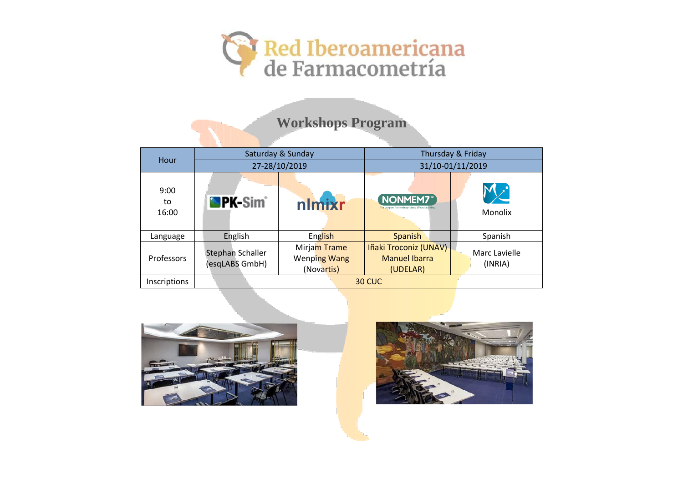

# **Workshops Program**

| Hour                | Saturday & Sunday                         |                                                   | Thursday & Friday                                           |                          |
|---------------------|-------------------------------------------|---------------------------------------------------|-------------------------------------------------------------|--------------------------|
|                     | 27-28/10/2019                             |                                                   | 31/10-01/11/2019                                            |                          |
| 9:00<br>to<br>16:00 | <b>PK-Sim<sup>®</sup></b>                 | nlmixr                                            | NONMEM7<br>The program for Nonlinear Mixed Effects Modeling | Monolix                  |
| Language            | English                                   | English                                           | Spanish                                                     | Spanish                  |
| Professors          | <b>Stephan Schaller</b><br>(esqLABS GmbH) | Mirjam Trame<br><b>Wenping Wang</b><br>(Novartis) | Iñaki Troconiz (UNAV)<br><b>Manuel Ibarra</b><br>(UDELAR)   | Marc Lavielle<br>(INRIA) |
| <b>Inscriptions</b> | 30 CUC                                    |                                                   |                                                             |                          |



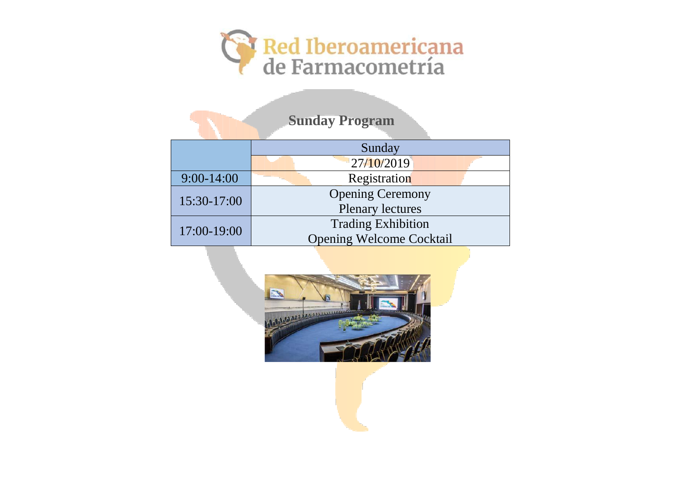

| <b>Sunday Program</b> |                                 |  |  |  |  |  |
|-----------------------|---------------------------------|--|--|--|--|--|
|                       | Sunday                          |  |  |  |  |  |
|                       | 27/10/2019                      |  |  |  |  |  |
| $9:00-14:00$          | Registration                    |  |  |  |  |  |
| 15:30-17:00           | <b>Opening Ceremony</b>         |  |  |  |  |  |
|                       | <b>Plenary lectures</b>         |  |  |  |  |  |
| 17:00-19:00           | <b>Trading Exhibition</b>       |  |  |  |  |  |
|                       | <b>Opening Welcome Cocktail</b> |  |  |  |  |  |

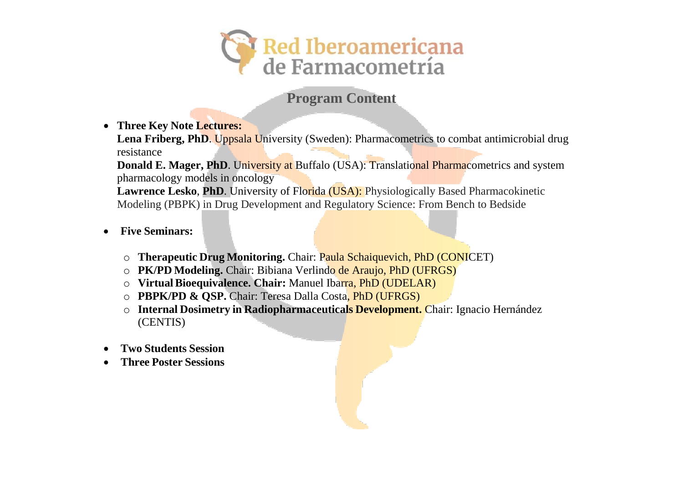

# **Program Content**

• **Three Key Note Lectures:**

**Lena Friberg, PhD**. Uppsala University (Sweden): Pharmacometrics to combat antimicrobial drug resistance

**Donald E. Mager, PhD.** University at Buffalo (USA): Translational Pharmacometrics and system pharmacology models in oncology

**Lawrence Lesko**, **PhD**. University of Florida (USA): Physiologically Based Pharmacokinetic Modeling (PBPK) in Drug Development and Regulatory Science: From Bench to Bedside

- **Five Seminars:**
	- o **Therapeutic Drug Monitoring.** Chair: Paula Schaiquevich, PhD (CONICET)
	- o **PK/PD Modeling.** Chair: Bibiana Verlindo de Araujo, PhD (UFRGS)
	- o **VirtualBioequivalence. Chair:** Manuel Ibarra, PhD (UDELAR)
	- o **PBPK/PD & QSP.** Chair: Teresa Dalla Costa, PhD (UFRGS)
	- o **Internal Dosimetry in Radiopharmaceuticals Development.** Chair: Ignacio Hernández (CENTIS)
- **Two Students Session**
- **Three Poster Sessions**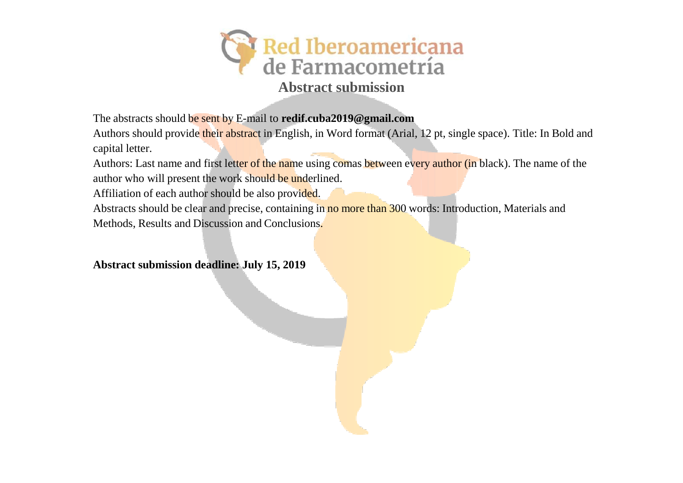

The abstracts should be sent by E-mail to **redif.cuba2019@gmail.com**

Authors should provide their abstract in English, in Word format (Arial, 12 pt, single space). Title: In Bold and capital letter.

Authors: Last name and first letter of the name using comas between every author (in black). The name of the author who will present the work should be underlined.

Affiliation of each author should be also provided.

Abstracts should be clear and precise, containing in no more than 300 words: Introduction, Materials and Methods, Results and Discussion and Conclusions.

**Abstract submission deadline: July 15, 2019**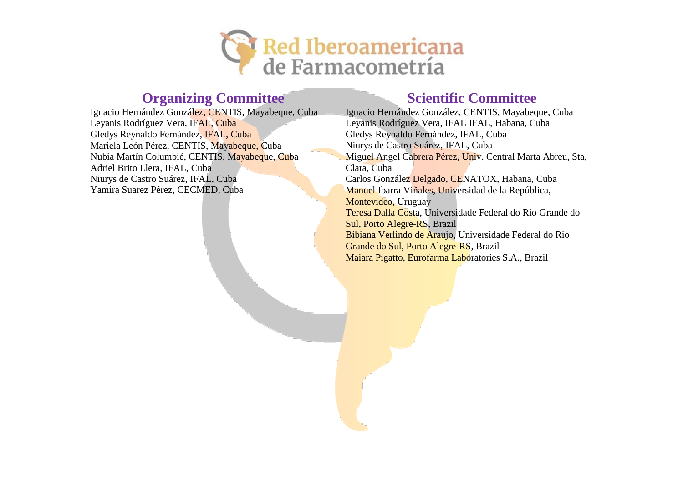

## **Organizing Committee Scientific Committee**

Ignacio Hernández González, CENTIS, Mayabeque, Cuba Leyanis Rodríguez Vera, IFAL, Cuba Gledys Reynaldo Fernández, IFAL, Cuba Mariela León Pérez, CENTIS, Mayabeque, Cuba Nubia Martín Columbié, CENTIS, Mayabeque, Cuba Adriel Brito Llera, IFAL, Cuba Niurys de Castro Suárez, IFAL, Cuba Yamira Suarez Pérez, CECMED, Cuba

Ignacio Hernández González, CENTIS, Mayabeque, Cuba Leyanis Rodríguez Vera, IFAL IFAL, Habana, Cuba Gledys Reynaldo Fernández, IFAL, Cuba Niurys de Castro Suárez, IFAL, Cuba Miguel Angel Cabrera Pérez, Univ. Central Marta Abreu, Sta, Clara, Cuba Carlos González Delgado, CENATOX, Habana, Cuba Manuel Ibarra Viñales, Universidad de la República, Montevideo, Uruguay Teresa Dalla Costa, Universidade Federal do Rio Grande do Sul, Porto Alegre-RS, Brazil Bibiana Verlindo de Araujo, Universidade Federal do Rio Grande do Sul, Porto Alegre-RS, Brazil Maiara Pigatto, Eurofarma Laboratories S.A., Brazil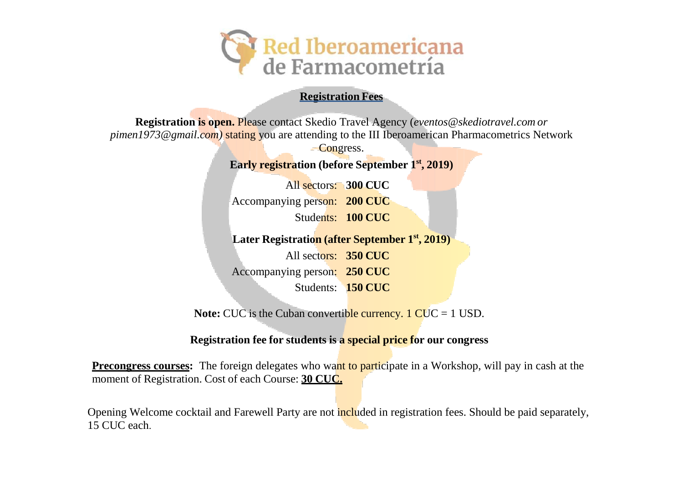

#### **Registration Fees**

**Registration is open.** Please contact Skedio Travel Agency (*[eventos@skediotravel.com](mailto:eventos@skediotravel.com) or [pimen1973@gmail.com\)](mailto:pimen1973@gmail.com)* stating you are attending to the III Iberoamerican Pharmacometrics Network

Congress.

**Early registration (before September 1 st , 2019)**

All sectors: **300 CUC** Accompanying person: **200 CUC** Students: **100 CUC**

**Later Registration (after September 1 st , 2019)**

All sectors: **350 CUC** Accompanying person: **250 CUC** Students: **150 CUC**

Note: CUC is the Cuban convertible currency. 1 CUC = 1 USD.

#### **Registration fee for students is a special price for our congress**

**Precongress courses:** The foreign delegates who want to participate in a Workshop, will pay in cash at the moment of Registration. Cost of each Course: **30 CUC.**

Opening Welcome cocktail and Farewell Party are not included in registration fees. Should be paid separately, 15 CUC each.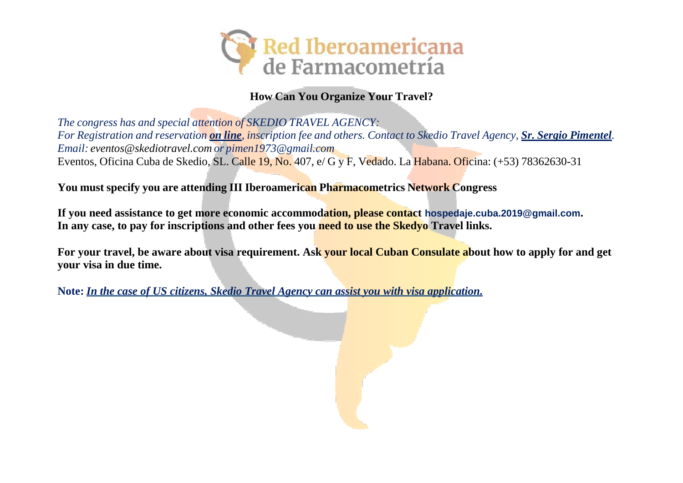

#### **How Can You Organize Your Travel?**

*The congress has and special attention of SKEDIO TRAVEL AGENCY:* For Registration and reservation on line, inscription fee and others. Contact to Skedio Travel Agency, Sr. Sergio Pimentel. *Email: [eventos@skediotravel.com](mailto:eventos@skediotravel.com) or [pimen1973@gmail.com](mailto:pimen1973@gmail.com)* Eventos, Oficina Cuba de Skedio, SL. Calle 19, No. 407, e/ G y F, Vedado. La Habana. Oficina: (+53) 78362630-31

**You must specify you are attending III Iberoamerican Pharmacometrics Network Congress**

**If you need assistance to get more economic accommodation, please contact hospedaje.cuba.2019@gmail.com. In any case, to pay for inscriptions and other fees you need to use the Skedyo Travel links.**

**For your travel, be aware about visa requirement. Ask your local Cuban Consulate about how to apply for and get your visa in due time.**

**Note:** *In the case of US citizens, Skedio Travel Agency can assist you with visa application.*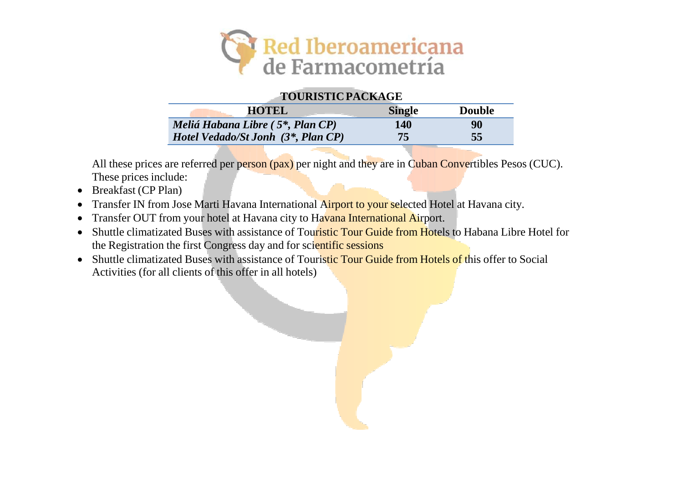

#### **TOURISTICPACKAGE**

| <b>HOTEL</b>                                            | <b>Single</b> | <b>Double</b> |
|---------------------------------------------------------|---------------|---------------|
| Meliá Habana Libre (5 <sup>*</sup> , Plan CP)           | <b>140</b>    | 90            |
| <i>Hotel Vedado/St Jonh</i> $(3^*$ , <i>Plan CP</i> $)$ | 75            | 55            |

All these prices are referred per person (pax) per night and they are in Cuban Convertibles Pesos (CUC). These prices include:

- Breakfast (CP Plan)
- Transfer IN from Jose Marti Havana International Airport to your selected Hotel at Havana city.
- Transfer OUT from your hotel at Havana city to Havana International Airport.
- Shuttle climatizated Buses with assistance of Touristic Tour Guide from Hotels to Habana Libre Hotel for the Registration the first Congress day and for scientific sessions
- Shuttle climatizated Buses with assistance of Touristic Tour Guide from Hotels of this offer to Social Activities (for all clients of this offer in all hotels)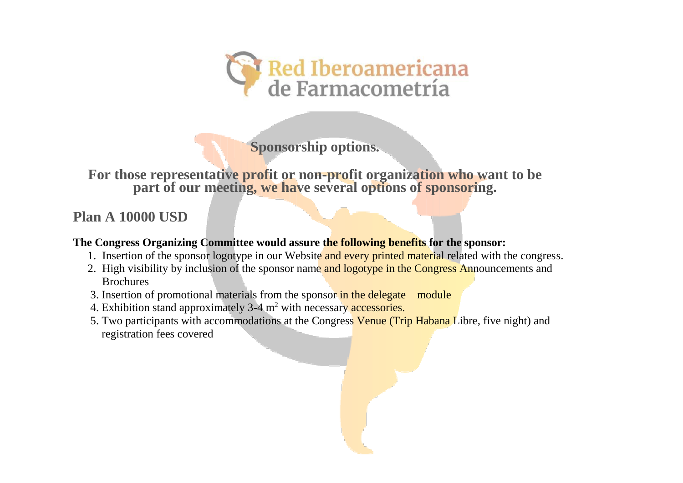

**Sponsorship options.**

**For those representative profit or non-profit organization who want to be part of our meeting, we have several options of sponsoring.**

## **Plan A 10000 USD**

#### **The Congress Organizing Committee would assure the following benefits for the sponsor:**

- 1. Insertion of the sponsor logotype in our Website and every printed material related with the congress.
- 2. High visibility by inclusion of the sponsor name and logotype in the Congress Announcements and Brochures
- 3. Insertion of promotional materials from the sponsor in the delegate module
- 4. Exhibition stand approximately 3-4 m<sup>2</sup> with necessary accessories.
- 5. Two participants with accommodations at the Congress Venue (Trip Habana Libre, five night) and registration fees covered